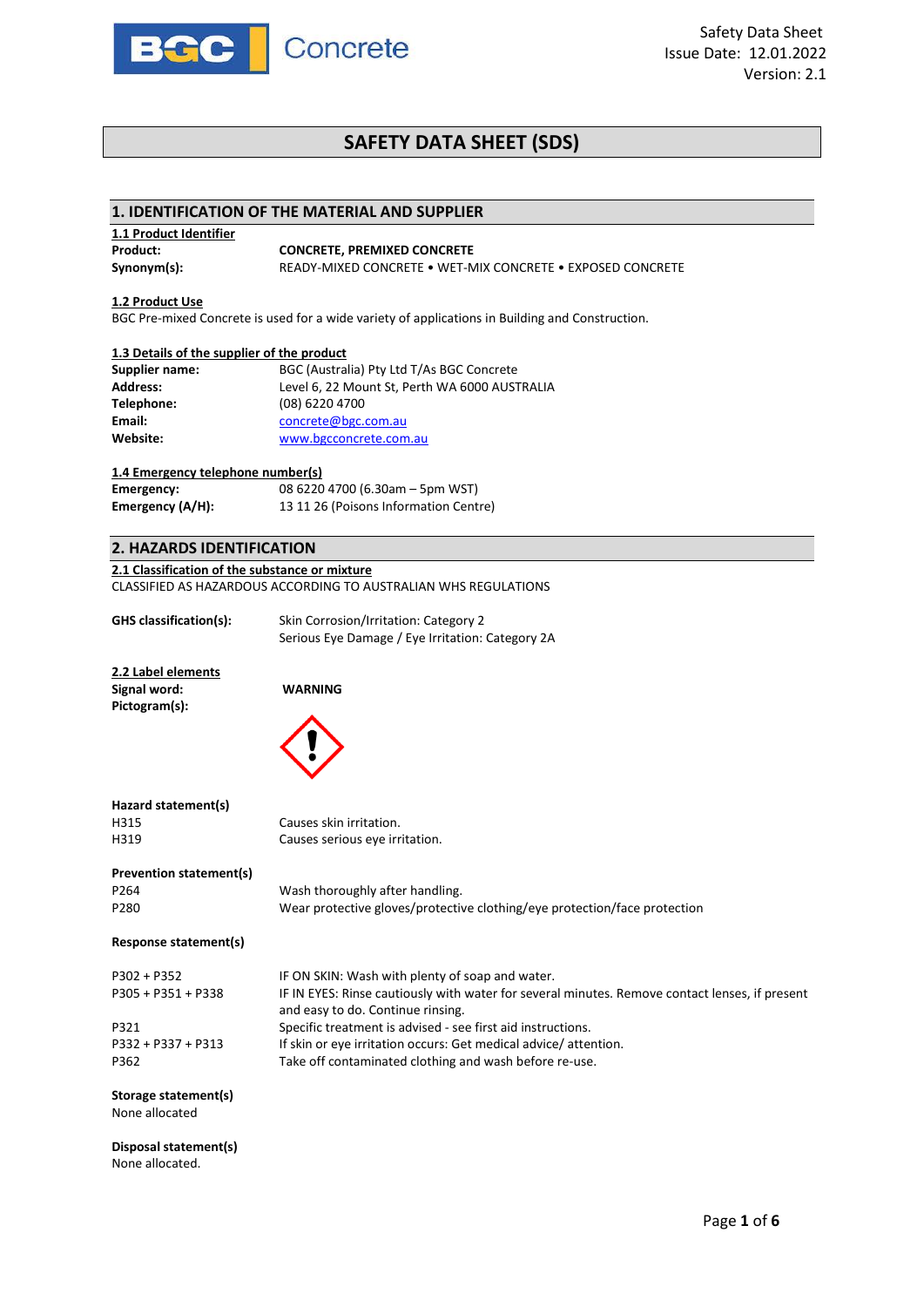

# **SAFETY DATA SHEET (SDS)**

# **1. IDENTIFICATION OF THE MATERIAL AND SUPPLIER**

| 1.1 Product Identifier |                                                            |  |  |
|------------------------|------------------------------------------------------------|--|--|
| Product:               | <b>CONCRETE, PREMIXED CONCRETE</b>                         |  |  |
| Synonym(s):            | READY-MIXED CONCRETE . WET-MIX CONCRETE . EXPOSED CONCRETE |  |  |

# **1.2 Product Use**

None allocated.

BGC Pre-mixed Concrete is used for a wide variety of applications in Building and Construction.

#### **1.3 Details of the supplier of the product**

| <b>Supplier name:</b> | BGC (Australia) Pty Ltd T/As BGC Concrete     |
|-----------------------|-----------------------------------------------|
| <b>Address:</b>       | Level 6, 22 Mount St, Perth WA 6000 AUSTRALIA |
| Telephone:            | (08) 6220 4700                                |
| Email:                | concrete@bgc.com.au                           |
| Website:              | www.bgcconcrete.com.au                        |

# **1.4 Emergency telephone number(s)**

| Emergency:       | 08 6220 4700 (6.30am - 5pm WST)       |
|------------------|---------------------------------------|
| Emergency (A/H): | 13 11 26 (Poisons Information Centre) |

# **2. HAZARDS IDENTIFICATION**

#### **2.1 Classification of the substance or mixture**

CLASSIFIED AS HAZARDOUS ACCORDING TO AUSTRALIAN WHS REGULATIONS

| GHS classification(s):                                            | Skin Corrosion/Irritation: Category 2<br>Serious Eye Damage / Eye Irritation: Category 2A                                                                                                                                                             |
|-------------------------------------------------------------------|-------------------------------------------------------------------------------------------------------------------------------------------------------------------------------------------------------------------------------------------------------|
| 2.2 Label elements<br>Signal word:<br>Pictogram(s):               | <b>WARNING</b>                                                                                                                                                                                                                                        |
| Hazard statement(s)                                               |                                                                                                                                                                                                                                                       |
| H315<br>H319                                                      | Causes skin irritation.<br>Causes serious eye irritation.                                                                                                                                                                                             |
| <b>Prevention statement(s)</b><br>P264<br>P280                    | Wash thoroughly after handling.<br>Wear protective gloves/protective clothing/eye protection/face protection                                                                                                                                          |
| Response statement(s)                                             |                                                                                                                                                                                                                                                       |
| $P302 + P352$<br>P305 + P351 + P338<br>P321<br>P332 + P337 + P313 | IF ON SKIN: Wash with plenty of soap and water.<br>IF IN EYES: Rinse cautiously with water for several minutes. Remove contact lenses, if present<br>and easy to do. Continue rinsing.<br>Specific treatment is advised - see first aid instructions. |
| P362                                                              | If skin or eye irritation occurs: Get medical advice/attention.<br>Take off contaminated clothing and wash before re-use.                                                                                                                             |
| <b>Storage statement(s)</b><br>None allocated                     |                                                                                                                                                                                                                                                       |
| Disposal statement(s)                                             |                                                                                                                                                                                                                                                       |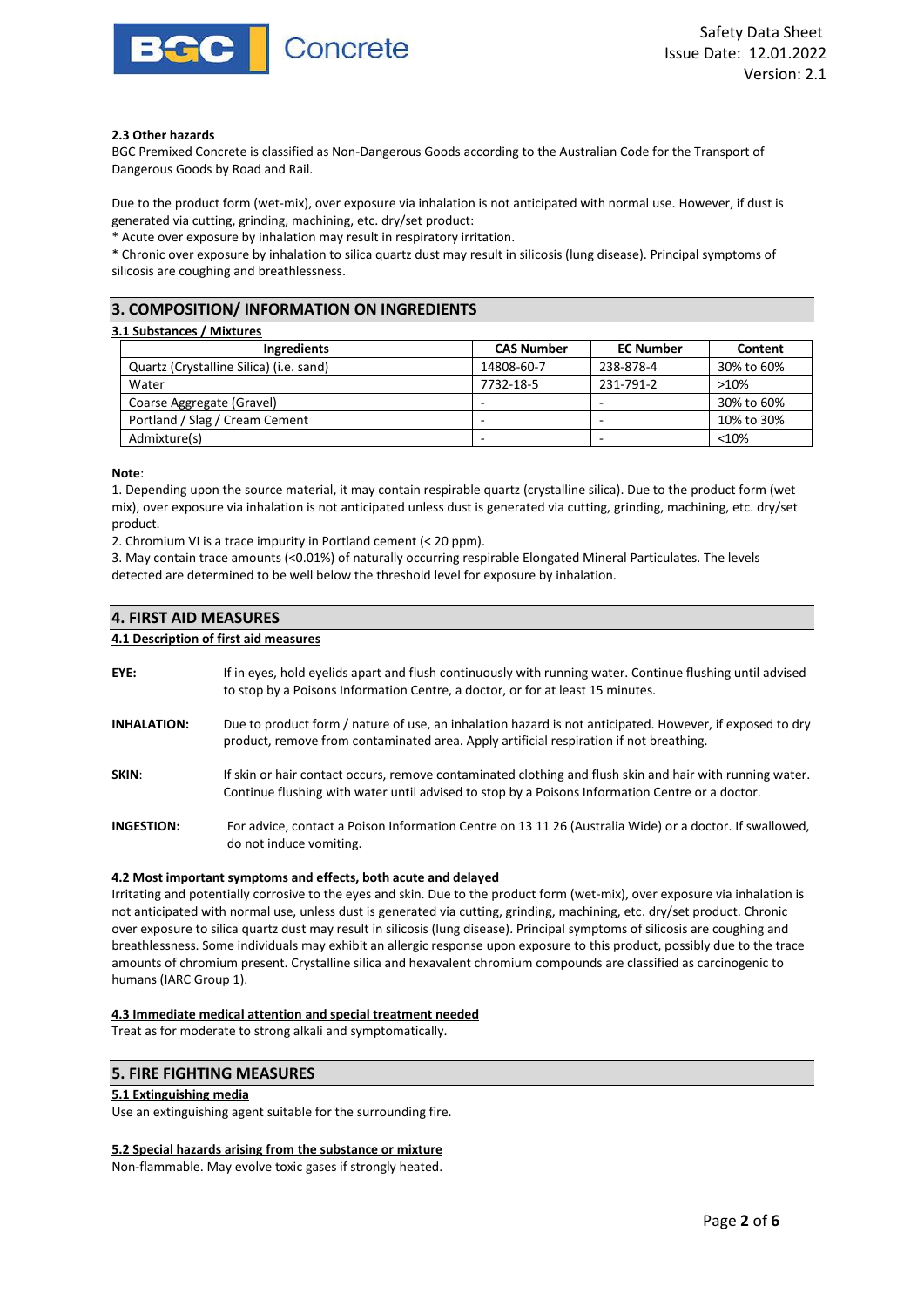

#### **2.3 Other hazards**

BGC Premixed Concrete is classified as Non-Dangerous Goods according to the Australian Code for the Transport of Dangerous Goods by Road and Rail.

Due to the product form (wet-mix), over exposure via inhalation is not anticipated with normal use. However, if dust is generated via cutting, grinding, machining, etc. dry/set product:

\* Acute over exposure by inhalation may result in respiratory irritation.

\* Chronic over exposure by inhalation to silica quartz dust may result in silicosis (lung disease). Principal symptoms of silicosis are coughing and breathlessness.

# **3. COMPOSITION/ INFORMATION ON INGREDIENTS**

| 3.1 Substances / Mixtures               |                   |                  |            |  |
|-----------------------------------------|-------------------|------------------|------------|--|
| Ingredients                             | <b>CAS Number</b> | <b>EC Number</b> | Content    |  |
| Quartz (Crystalline Silica) (i.e. sand) | 14808-60-7        | 238-878-4        | 30% to 60% |  |
| Water                                   | 7732-18-5         | 231-791-2        | >10%       |  |
| Coarse Aggregate (Gravel)               |                   |                  | 30% to 60% |  |
| Portland / Slag / Cream Cement          | -                 |                  | 10% to 30% |  |
| Admixture(s)                            | -                 | -                | < 10%      |  |

**Note**:

1. Depending upon the source material, it may contain respirable quartz (crystalline silica). Due to the product form (wet mix), over exposure via inhalation is not anticipated unless dust is generated via cutting, grinding, machining, etc. dry/set product.

2. Chromium VI is a trace impurity in Portland cement (< 20 ppm).

3. May contain trace amounts (<0.01%) of naturally occurring respirable Elongated Mineral Particulates. The levels detected are determined to be well below the threshold level for exposure by inhalation.

# **4. FIRST AID MEASURES**

#### **4.1 Description of first aid measures**

- **EYE:** If in eyes, hold eyelids apart and flush continuously with running water. Continue flushing until advised to stop by a Poisons Information Centre, a doctor, or for at least 15 minutes.
- **INHALATION:** Due to product form / nature of use, an inhalation hazard is not anticipated. However, if exposed to dry product, remove from contaminated area. Apply artificial respiration if not breathing.
- **SKIN:** If skin or hair contact occurs, remove contaminated clothing and flush skin and hair with running water. Continue flushing with water until advised to stop by a Poisons Information Centre or a doctor.
- **INGESTION:** For advice, contact a Poison Information Centre on 13 11 26 (Australia Wide) or a doctor. If swallowed, do not induce vomiting.

# **4.2 Most important symptoms and effects, both acute and delayed**

Irritating and potentially corrosive to the eyes and skin. Due to the product form (wet-mix), over exposure via inhalation is not anticipated with normal use, unless dust is generated via cutting, grinding, machining, etc. dry/set product. Chronic over exposure to silica quartz dust may result in silicosis (lung disease). Principal symptoms of silicosis are coughing and breathlessness. Some individuals may exhibit an allergic response upon exposure to this product, possibly due to the trace amounts of chromium present. Crystalline silica and hexavalent chromium compounds are classified as carcinogenic to humans (IARC Group 1).

#### **4.3 Immediate medical attention and special treatment needed**

Treat as for moderate to strong alkali and symptomatically.

# **5. FIRE FIGHTING MEASURES**

# **5.1 Extinguishing media**

Use an extinguishing agent suitable for the surrounding fire.

#### **5.2 Special hazards arising from the substance or mixture**

Non-flammable. May evolve toxic gases if strongly heated.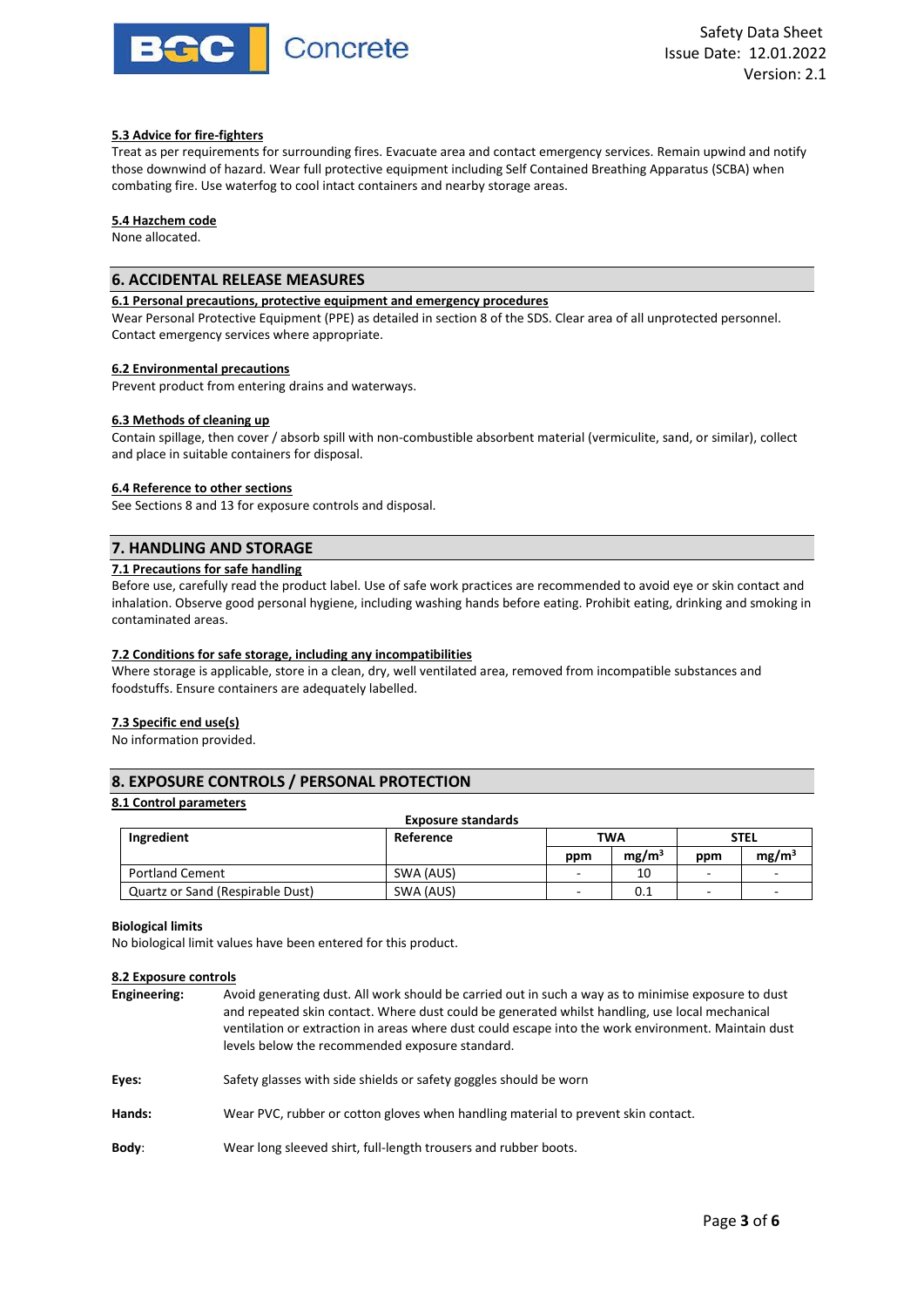

# **5.3 Advice for fire-fighters**

Treat as per requirements for surrounding fires. Evacuate area and contact emergency services. Remain upwind and notify those downwind of hazard. Wear full protective equipment including Self Contained Breathing Apparatus (SCBA) when combating fire. Use waterfog to cool intact containers and nearby storage areas.

### **5.4 Hazchem code**

None allocated.

# **6. ACCIDENTAL RELEASE MEASURES**

# **6.1 Personal precautions, protective equipment and emergency procedures**

Wear Personal Protective Equipment (PPE) as detailed in section 8 of the SDS. Clear area of all unprotected personnel. Contact emergency services where appropriate.

#### **6.2 Environmental precautions**

Prevent product from entering drains and waterways.

#### **6.3 Methods of cleaning up**

Contain spillage, then cover / absorb spill with non-combustible absorbent material (vermiculite, sand, or similar), collect and place in suitable containers for disposal.

#### **6.4 Reference to other sections**

See Sections 8 and 13 for exposure controls and disposal.

# **7. HANDLING AND STORAGE**

#### **7.1 Precautions for safe handling**

Before use, carefully read the product label. Use of safe work practices are recommended to avoid eye or skin contact and inhalation. Observe good personal hygiene, including washing hands before eating. Prohibit eating, drinking and smoking in contaminated areas.

#### **7.2 Conditions for safe storage, including any incompatibilities**

Where storage is applicable, store in a clean, dry, well ventilated area, removed from incompatible substances and foodstuffs. Ensure containers are adequately labelled.

#### **7.3 Specific end use(s)**

No information provided.

# **8. EXPOSURE CONTROLS / PERSONAL PROTECTION**

#### **8.1 Control parameters**

| <b>Exposure standards</b>        |           |     |                   |     |                   |
|----------------------------------|-----------|-----|-------------------|-----|-------------------|
| Ingredient<br>Reference<br>TWA   |           |     | <b>STEL</b>       |     |                   |
|                                  |           | ppm | mg/m <sup>3</sup> | ppm | mg/m <sup>3</sup> |
| <b>Portland Cement</b>           | SWA (AUS) | -   | 10                | -   |                   |
| Quartz or Sand (Respirable Dust) | SWA (AUS) | -   | 0.1               | -   |                   |

#### **Biological limits**

No biological limit values have been entered for this product.

#### **8.2 Exposure controls**

| Engineering: | Avoid generating dust. All work should be carried out in such a way as to minimise exposure to dust<br>and repeated skin contact. Where dust could be generated whilst handling, use local mechanical<br>ventilation or extraction in areas where dust could escape into the work environment. Maintain dust<br>levels below the recommended exposure standard. |
|--------------|-----------------------------------------------------------------------------------------------------------------------------------------------------------------------------------------------------------------------------------------------------------------------------------------------------------------------------------------------------------------|
| Eyes:        | Safety glasses with side shields or safety goggles should be worn                                                                                                                                                                                                                                                                                               |
| Hands:       | Wear PVC, rubber or cotton gloves when handling material to prevent skin contact.                                                                                                                                                                                                                                                                               |
| Body:        | Wear long sleeved shirt, full-length trousers and rubber boots.                                                                                                                                                                                                                                                                                                 |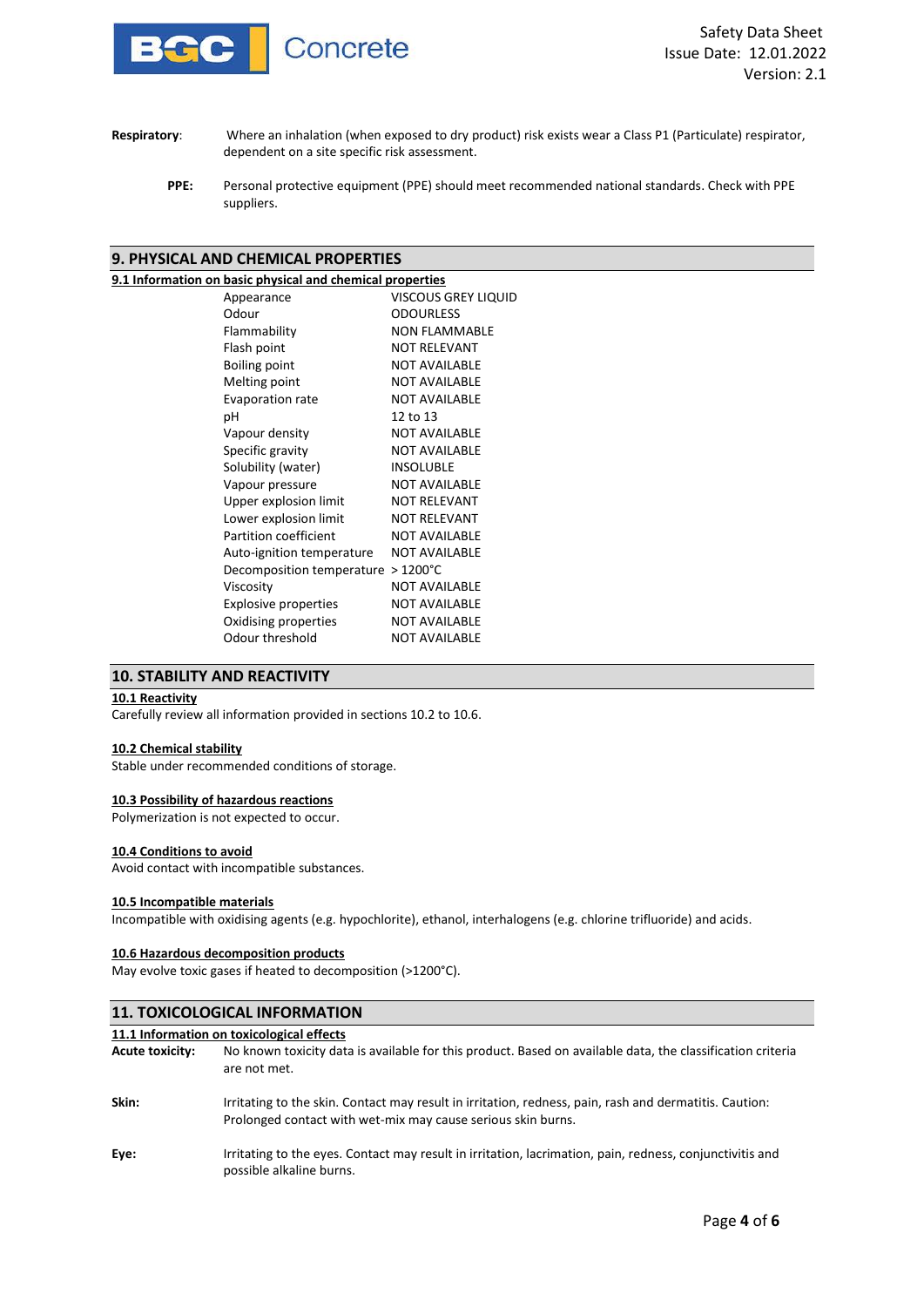

- **Respiratory**: Where an inhalation (when exposed to dry product) risk exists wear a Class P1 (Particulate) respirator, dependent on a site specific risk assessment.
	- **PPE:** Personal protective equipment (PPE) should meet recommended national standards. Check with PPE suppliers.

# **9. PHYSICAL AND CHEMICAL PROPERTIES**

# **9.1 Information on basic physical and chemical properties**

| <u>In on sasie privated and enciment properties</u> |                            |
|-----------------------------------------------------|----------------------------|
| Appearance                                          | <b>VISCOUS GREY LIQUID</b> |
| Odour                                               | <b>ODOURLESS</b>           |
| Flammability                                        | <b>NON FLAMMABLE</b>       |
| Flash point                                         | <b>NOT RELEVANT</b>        |
| <b>Boiling point</b>                                | <b>NOT AVAILABLE</b>       |
| Melting point                                       | <b>NOT AVAILABLE</b>       |
| Evaporation rate                                    | <b>NOT AVAILABLE</b>       |
| рH                                                  | 12 to 13                   |
| Vapour density                                      | <b>NOT AVAILABLE</b>       |
| Specific gravity                                    | <b>NOT AVAILABLE</b>       |
| Solubility (water)                                  | <b>INSOLUBLE</b>           |
| Vapour pressure                                     | <b>NOT AVAILABLE</b>       |
| Upper explosion limit                               | <b>NOT RELEVANT</b>        |
| Lower explosion limit                               | <b>NOT RELEVANT</b>        |
| Partition coefficient                               | <b>NOT AVAILABLE</b>       |
| Auto-ignition temperature                           | <b>NOT AVAILABLE</b>       |
| Decomposition temperature                           | $>1200^{\circ}$ C          |
| Viscosity                                           | <b>NOT AVAILABLE</b>       |
| <b>Explosive properties</b>                         | <b>NOT AVAILABLE</b>       |
| Oxidising properties                                | <b>NOT AVAILABLE</b>       |
| Odour threshold                                     | <b>NOT AVAILABLE</b>       |
|                                                     |                            |

# **10. STABILITY AND REACTIVITY**

### **10.1 Reactivity**

Carefully review all information provided in sections 10.2 to 10.6.

#### **10.2 Chemical stability**

Stable under recommended conditions of storage.

#### **10.3 Possibility of hazardous reactions**

Polymerization is not expected to occur.

### **10.4 Conditions to avoid**

Avoid contact with incompatible substances.

# **10.5 Incompatible materials**

Incompatible with oxidising agents (e.g. hypochlorite), ethanol, interhalogens (e.g. chlorine trifluoride) and acids.

#### **10.6 Hazardous decomposition products**

May evolve toxic gases if heated to decomposition (>1200°C).

| <b>11. TOXICOLOGICAL INFORMATION</b> |                                                                                                                                                                        |  |  |  |
|--------------------------------------|------------------------------------------------------------------------------------------------------------------------------------------------------------------------|--|--|--|
|                                      | 11.1 Information on toxicological effects                                                                                                                              |  |  |  |
| <b>Acute toxicity:</b>               | No known toxicity data is available for this product. Based on available data, the classification criteria<br>are not met.                                             |  |  |  |
| Skin:                                | Irritating to the skin. Contact may result in irritation, redness, pain, rash and dermatitis. Caution:<br>Prolonged contact with wet-mix may cause serious skin burns. |  |  |  |
| Eye:                                 | Irritating to the eyes. Contact may result in irritation, lacrimation, pain, redness, conjunctivitis and<br>possible alkaline burns.                                   |  |  |  |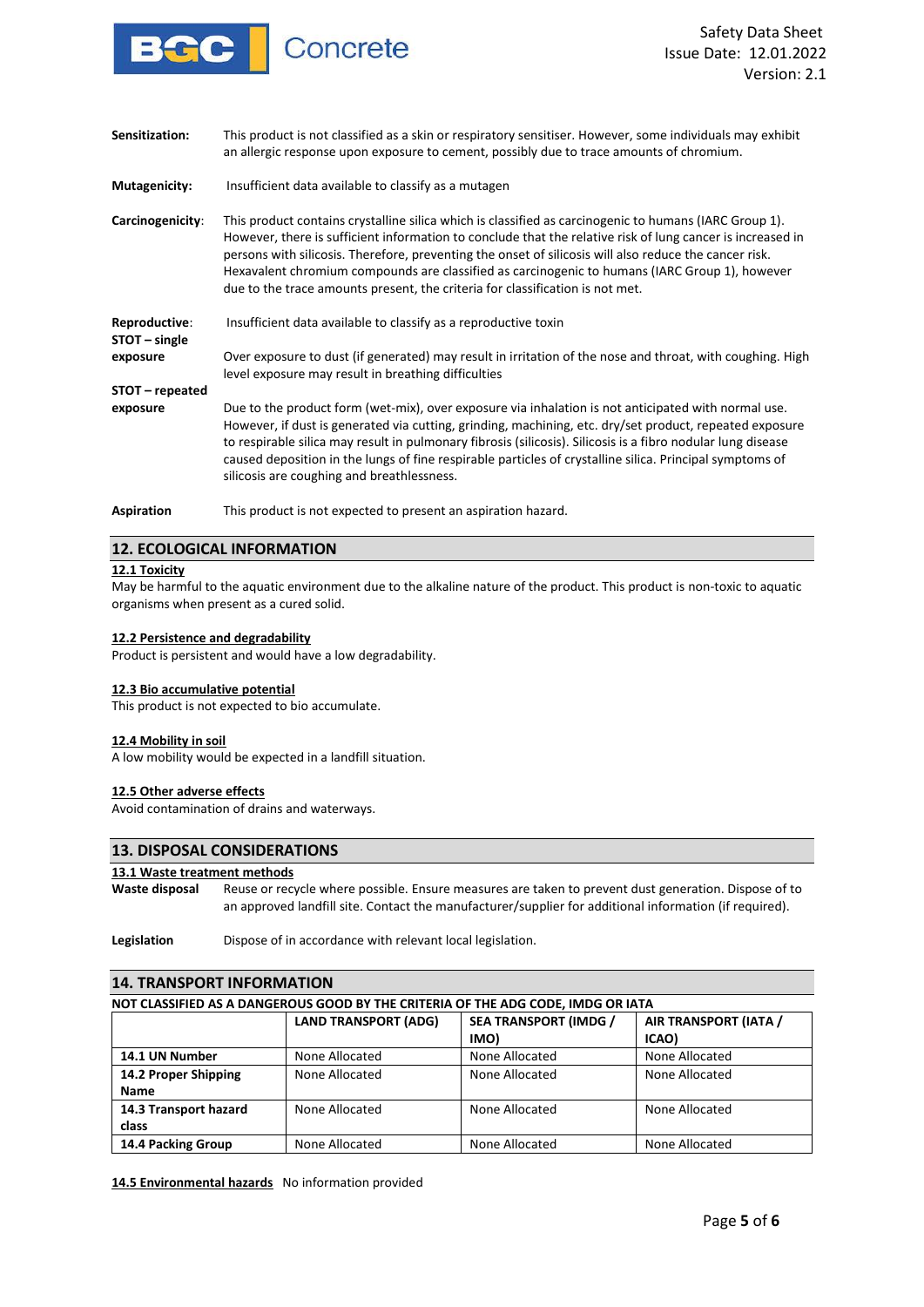

| Sensitization:                 | This product is not classified as a skin or respiratory sensitiser. However, some individuals may exhibit<br>an allergic response upon exposure to cement, possibly due to trace amounts of chromium.                                                                                                                                                                                                                                                                                                             |
|--------------------------------|-------------------------------------------------------------------------------------------------------------------------------------------------------------------------------------------------------------------------------------------------------------------------------------------------------------------------------------------------------------------------------------------------------------------------------------------------------------------------------------------------------------------|
| Mutagenicity:                  | Insufficient data available to classify as a mutagen                                                                                                                                                                                                                                                                                                                                                                                                                                                              |
| Carcinogenicity:               | This product contains crystalline silica which is classified as carcinogenic to humans (IARC Group 1).<br>However, there is sufficient information to conclude that the relative risk of lung cancer is increased in<br>persons with silicosis. Therefore, preventing the onset of silicosis will also reduce the cancer risk.<br>Hexavalent chromium compounds are classified as carcinogenic to humans (IARC Group 1), however<br>due to the trace amounts present, the criteria for classification is not met. |
| Reproductive:<br>STOT – single | Insufficient data available to classify as a reproductive toxin                                                                                                                                                                                                                                                                                                                                                                                                                                                   |
| exposure                       | Over exposure to dust (if generated) may result in irritation of the nose and throat, with coughing. High<br>level exposure may result in breathing difficulties                                                                                                                                                                                                                                                                                                                                                  |
| STOT - repeated                |                                                                                                                                                                                                                                                                                                                                                                                                                                                                                                                   |
| exposure                       | Due to the product form (wet-mix), over exposure via inhalation is not anticipated with normal use.<br>However, if dust is generated via cutting, grinding, machining, etc. dry/set product, repeated exposure<br>to respirable silica may result in pulmonary fibrosis (silicosis). Silicosis is a fibro nodular lung disease<br>caused deposition in the lungs of fine respirable particles of crystalline silica. Principal symptoms of<br>silicosis are coughing and breathlessness.                          |
| Aspiration                     | This product is not expected to present an aspiration hazard.                                                                                                                                                                                                                                                                                                                                                                                                                                                     |

# **12. ECOLOGICAL INFORMATION**

#### **12.1 Toxicity**

May be harmful to the aquatic environment due to the alkaline nature of the product. This product is non-toxic to aquatic organisms when present as a cured solid.

#### **12.2 Persistence and degradability**

Product is persistent and would have a low degradability.

#### **12.3 Bio accumulative potential**

This product is not expected to bio accumulate.

#### **12.4 Mobility in soil**

A low mobility would be expected in a landfill situation.

#### **12.5 Other adverse effects**

Avoid contamination of drains and waterways.

# **13. DISPOSAL CONSIDERATIONS**

# **13.1 Waste treatment methods**

**Waste disposal** Reuse or recycle where possible. Ensure measures are taken to prevent dust generation. Dispose of to an approved landfill site. Contact the manufacturer/supplier for additional information (if required).

**Legislation** Dispose of in accordance with relevant local legislation.

| <b>14. TRANSPORT INFORMATION</b>    |                             |                                                                                  |                                |  |
|-------------------------------------|-----------------------------|----------------------------------------------------------------------------------|--------------------------------|--|
|                                     |                             | NOT CLASSIFIED AS A DANGEROUS GOOD BY THE CRITERIA OF THE ADG CODE, IMDG OR IATA |                                |  |
|                                     | <b>LAND TRANSPORT (ADG)</b> | <b>SEA TRANSPORT (IMDG /</b><br>IMO)                                             | AIR TRANSPORT (IATA /<br>ICAO) |  |
| 14.1 UN Number                      | None Allocated              | None Allocated                                                                   | None Allocated                 |  |
| 14.2 Proper Shipping<br><b>Name</b> | None Allocated              | None Allocated                                                                   | None Allocated                 |  |
| 14.3 Transport hazard<br>class      | None Allocated              | None Allocated                                                                   | None Allocated                 |  |
| 14.4 Packing Group                  | None Allocated              | None Allocated                                                                   | None Allocated                 |  |